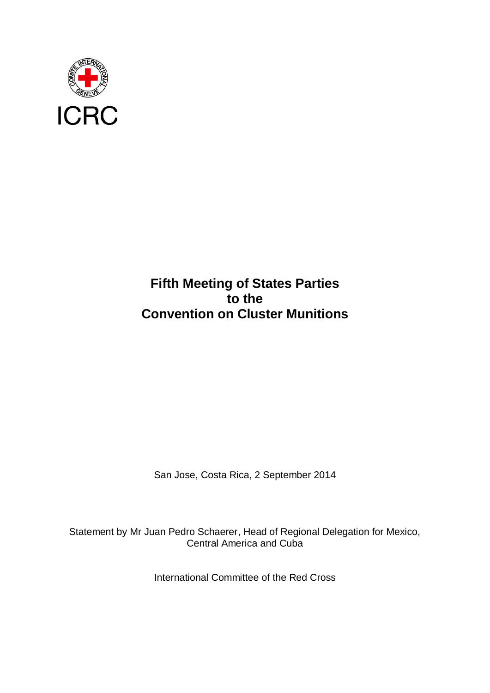

## **Fifth Meeting of States Parties to the Convention on Cluster Munitions**

San Jose, Costa Rica, 2 September 2014

Statement by Mr Juan Pedro Schaerer, Head of Regional Delegation for Mexico, Central America and Cuba

International Committee of the Red Cross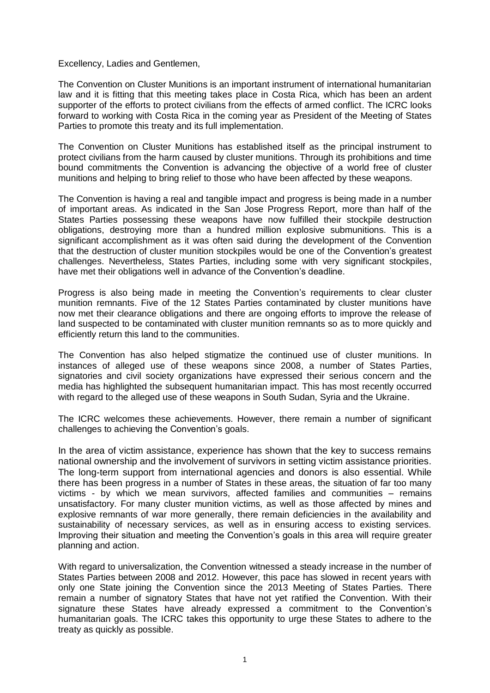## Excellency, Ladies and Gentlemen,

The Convention on Cluster Munitions is an important instrument of international humanitarian law and it is fitting that this meeting takes place in Costa Rica, which has been an ardent supporter of the efforts to protect civilians from the effects of armed conflict. The ICRC looks forward to working with Costa Rica in the coming year as President of the Meeting of States Parties to promote this treaty and its full implementation.

The Convention on Cluster Munitions has established itself as the principal instrument to protect civilians from the harm caused by cluster munitions. Through its prohibitions and time bound commitments the Convention is advancing the objective of a world free of cluster munitions and helping to bring relief to those who have been affected by these weapons.

The Convention is having a real and tangible impact and progress is being made in a number of important areas. As indicated in the San Jose Progress Report, more than half of the States Parties possessing these weapons have now fulfilled their stockpile destruction obligations, destroying more than a hundred million explosive submunitions. This is a significant accomplishment as it was often said during the development of the Convention that the destruction of cluster munition stockpiles would be one of the Convention's greatest challenges. Nevertheless, States Parties, including some with very significant stockpiles, have met their obligations well in advance of the Convention's deadline.

Progress is also being made in meeting the Convention's requirements to clear cluster munition remnants. Five of the 12 States Parties contaminated by cluster munitions have now met their clearance obligations and there are ongoing efforts to improve the release of land suspected to be contaminated with cluster munition remnants so as to more quickly and efficiently return this land to the communities.

The Convention has also helped stigmatize the continued use of cluster munitions. In instances of alleged use of these weapons since 2008, a number of States Parties, signatories and civil society organizations have expressed their serious concern and the media has highlighted the subsequent humanitarian impact. This has most recently occurred with regard to the alleged use of these weapons in South Sudan, Syria and the Ukraine.

The ICRC welcomes these achievements. However, there remain a number of significant challenges to achieving the Convention's goals.

In the area of victim assistance, experience has shown that the key to success remains national ownership and the involvement of survivors in setting victim assistance priorities. The long-term support from international agencies and donors is also essential. While there has been progress in a number of States in these areas, the situation of far too many victims - by which we mean survivors, affected families and communities – remains unsatisfactory. For many cluster munition victims, as well as those affected by mines and explosive remnants of war more generally, there remain deficiencies in the availability and sustainability of necessary services, as well as in ensuring access to existing services. Improving their situation and meeting the Convention's goals in this area will require greater planning and action.

With regard to universalization, the Convention witnessed a steady increase in the number of States Parties between 2008 and 2012. However, this pace has slowed in recent years with only one State joining the Convention since the 2013 Meeting of States Parties. There remain a number of signatory States that have not yet ratified the Convention. With their signature these States have already expressed a commitment to the Convention's humanitarian goals. The ICRC takes this opportunity to urge these States to adhere to the treaty as quickly as possible.